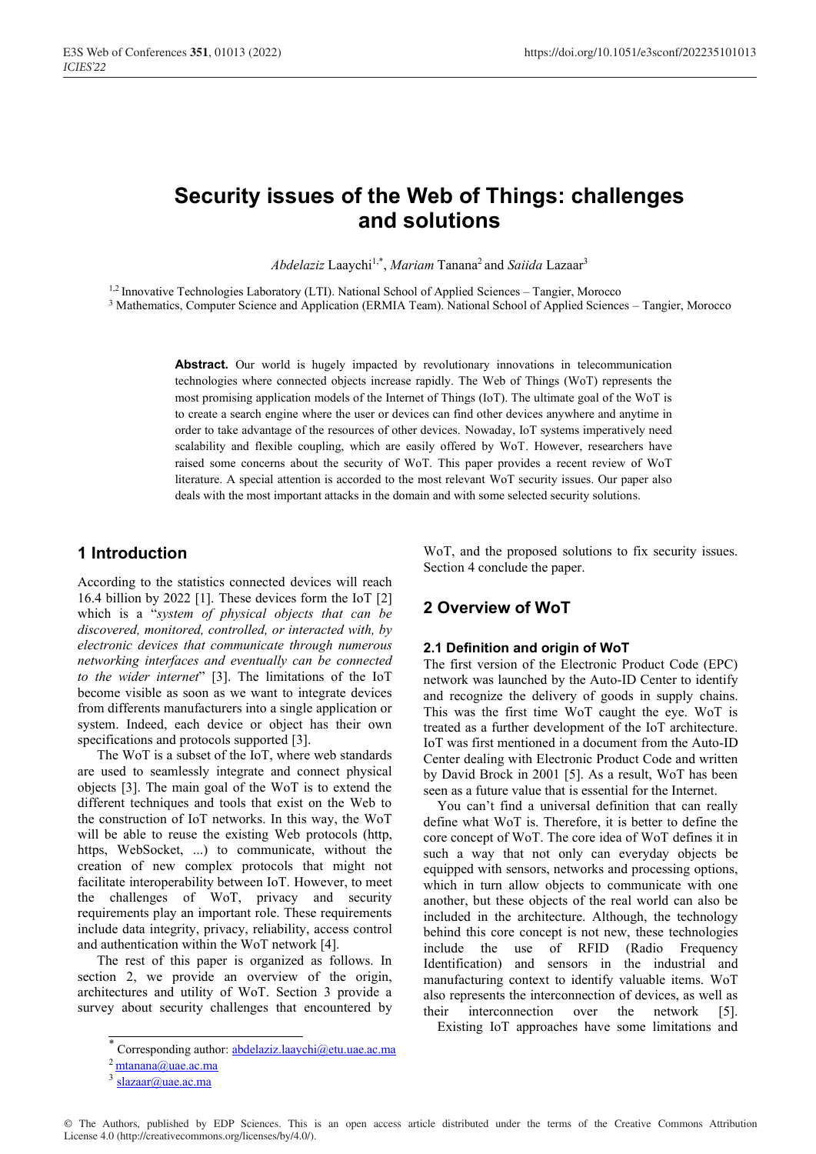# **Security issues of the Web of Things: challenges and solutions**

*Abdelaziz* Laaychi1,\*, *Mariam* Tanana2 and *Saiida* Lazaar3

<sup>1,2</sup> Innovative Technologies Laboratory (LTI). National School of Applied Sciences – Tangier, Morocco

<sup>3</sup> Mathematics, Computer Science and Application (ERMIA Team). National School of Applied Sciences – Tangier, Morocco

Abstract. Our world is hugely impacted by revolutionary innovations in telecommunication technologies where connected objects increase rapidly. The Web of Things (WoT) represents the most promising application models of the Internet of Things (IoT). The ultimate goal of the WoT is to create a search engine where the user or devices can find other devices anywhere and anytime in order to take advantage of the resources of other devices. Nowaday, IoT systems imperatively need scalability and flexible coupling, which are easily offered by WoT. However, researchers have raised some concerns about the security of WoT. This paper provides a recent review of WoT literature. A special attention is accorded to the most relevant WoT security issues. Our paper also deals with the most important attacks in the domain and with some selected security solutions.

### **1 Introduction**

According to the statistics connected devices will reach 16.4 billion by 2022 [1]. These devices form the IoT [2] which is a "*system of physical objects that can be discovered, monitored, controlled, or interacted with, by electronic devices that communicate through numerous networking interfaces and eventually can be connected to the wider internet*" [3]. The limitations of the IoT become visible as soon as we want to integrate devices from differents manufacturers into a single application or system. Indeed, each device or object has their own specifications and protocols supported [3].

The WoT is a subset of the IoT, where web standards are used to seamlessly integrate and connect physical objects [3]. The main goal of the WoT is to extend the different techniques and tools that exist on the Web to the construction of IoT networks. In this way, the WoT will be able to reuse the existing Web protocols (http, https, WebSocket, ...) to communicate, without the creation of new complex protocols that might not facilitate interoperability between IoT. However, to meet the challenges of WoT, privacy and security requirements play an important role. These requirements include data integrity, privacy, reliability, access control and authentication within the WoT network [4].

The rest of this paper is organized as follows. In section 2, we provide an overview of the origin, architectures and utility of WoT. Section 3 provide a survey about security challenges that encountered by WoT, and the proposed solutions to fix security issues. Section 4 conclude the paper.

### **2 Overview of WoT**

#### **2.1 Definition and origin of WoT**

The first version of the Electronic Product Code (EPC) network was launched by the Auto-ID Center to identify and recognize the delivery of goods in supply chains. This was the first time WoT caught the eye. WoT is treated as a further development of the IoT architecture. IoT was first mentioned in a document from the Auto-ID Center dealing with Electronic Product Code and written by David Brock in 2001 [5]. As a result, WoT has been seen as a future value that is essential for the Internet.

 You can't find a universal definition that can really define what WoT is. Therefore, it is better to define the core concept of WoT. The core idea of WoT defines it in such a way that not only can everyday objects be equipped with sensors, networks and processing options, which in turn allow objects to communicate with one another, but these objects of the real world can also be included in the architecture. Although, the technology behind this core concept is not new, these technologies include the use of RFID (Radio Frequency Identification) and sensors in the industrial and manufacturing context to identify valuable items. WoT also represents the interconnection of devices, as well as their interconnection over the network [5].

Existing IoT approaches have some limitations and

Corresponding author: abdelaziz.laaychi@etu.uae.ac.ma

<sup>2</sup> mtanana@uae.ac.ma

 $3$  slazaar@uae.ac.ma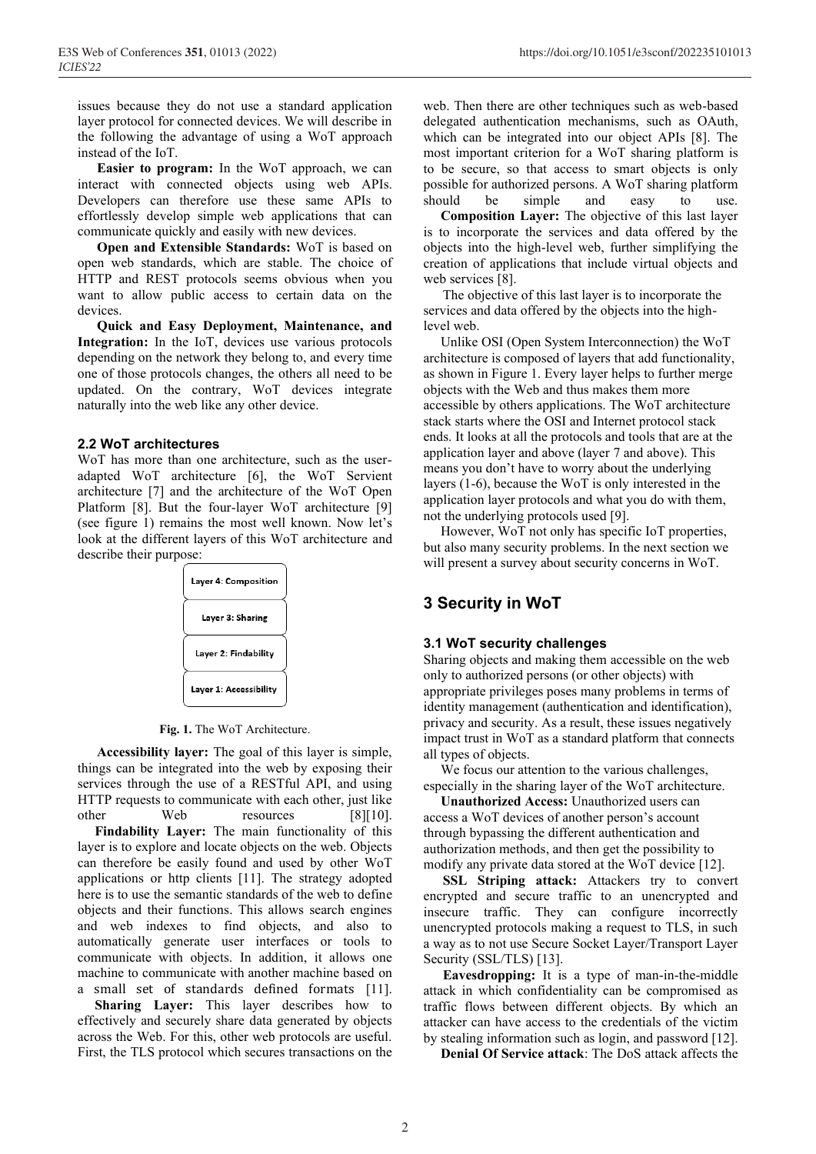issues because they do not use a standard application layer protocol for connected devices. We will describe in the following the advantage of using a WoT approach instead of the IoT.

**Easier to program:** In the WoT approach, we can interact with connected objects using web APIs. Developers can therefore use these same APIs to effortlessly develop simple web applications that can communicate quickly and easily with new devices.

**Open and Extensible Standards:** WoT is based on open web standards, which are stable. The choice of HTTP and REST protocols seems obvious when you want to allow public access to certain data on the devices.

**Quick and Easy Deployment, Maintenance, and Integration:** In the IoT, devices use various protocols depending on the network they belong to, and every time one of those protocols changes, the others all need to be updated. On the contrary, WoT devices integrate naturally into the web like any other device.

#### **2.2 WoT architectures**

WoT has more than one architecture, such as the useradapted WoT architecture [6], the WoT Servient architecture [7] and the architecture of the WoT Open Platform [8]. But the four-layer WoT architecture [9] (see figure 1) remains the most well known. Now let's look at the different layers of this WoT architecture and describe their purpose:



**Fig. 1.** The WoT Architecture.

**Accessibility layer:** The goal of this layer is simple, things can be integrated into the web by exposing their services through the use of a RESTful API, and using HTTP requests to communicate with each other, just like other Web resources [8][10].

 **Findability Layer:** The main functionality of this layer is to explore and locate objects on the web. Objects can therefore be easily found and used by other WoT applications or http clients [11]. The strategy adopted here is to use the semantic standards of the web to define objects and their functions. This allows search engines and web indexes to find objects, and also to automatically generate user interfaces or tools to communicate with objects. In addition, it allows one machine to communicate with another machine based on a small set of standards defined formats [11].

 **Sharing Layer:** This layer describes how to effectively and securely share data generated by objects across the Web. For this, other web protocols are useful. First, the TLS protocol which secures transactions on the

web. Then there are other techniques such as web-based delegated authentication mechanisms, such as OAuth, which can be integrated into our object APIs [8]. The most important criterion for a WoT sharing platform is to be secure, so that access to smart objects is only possible for authorized persons. A WoT sharing platform should be simple and easy to use.

 **Composition Layer:** The objective of this last layer is to incorporate the services and data offered by the objects into the high-level web, further simplifying the creation of applications that include virtual objects and web services [8].

The objective of this last layer is to incorporate the services and data offered by the objects into the highlevel web.

 Unlike OSI (Open System Interconnection) the WoT architecture is composed of layers that add functionality, as shown in Figure 1. Every layer helps to further merge objects with the Web and thus makes them more accessible by others applications. The WoT architecture stack starts where the OSI and Internet protocol stack ends. It looks at all the protocols and tools that are at the application layer and above (layer 7 and above). This means you don't have to worry about the underlying layers (1-6), because the WoT is only interested in the application layer protocols and what you do with them, not the underlying protocols used [9].

 However, WoT not only has specific IoT properties, but also many security problems. In the next section we will present a survey about security concerns in WoT.

### **3 Security in WoT**

#### **3.1 WoT security challenges**

Sharing objects and making them accessible on the web only to authorized persons (or other objects) with appropriate privileges poses many problems in terms of identity management (authentication and identification), privacy and security. As a result, these issues negatively impact trust in WoT as a standard platform that connects all types of objects.

 We focus our attention to the various challenges, especially in the sharing layer of the WoT architecture.

 **Unauthorized Access:** Unauthorized users can access a WoT devices of another person's account through bypassing the different authentication and authorization methods, and then get the possibility to modify any private data stored at the WoT device [12].

**SSL Striping attack:** Attackers try to convert encrypted and secure traffic to an unencrypted and insecure traffic. They can configure incorrectly unencrypted protocols making a request to TLS, in such a way as to not use Secure Socket Layer/Transport Layer Security (SSL/TLS) [13].

**Eavesdropping:** It is a type of man-in-the-middle attack in which confidentiality can be compromised as traffic flows between different objects. By which an attacker can have access to the credentials of the victim by stealing information such as login, and password [12].

 **Denial Of Service attack**: The DoS attack affects the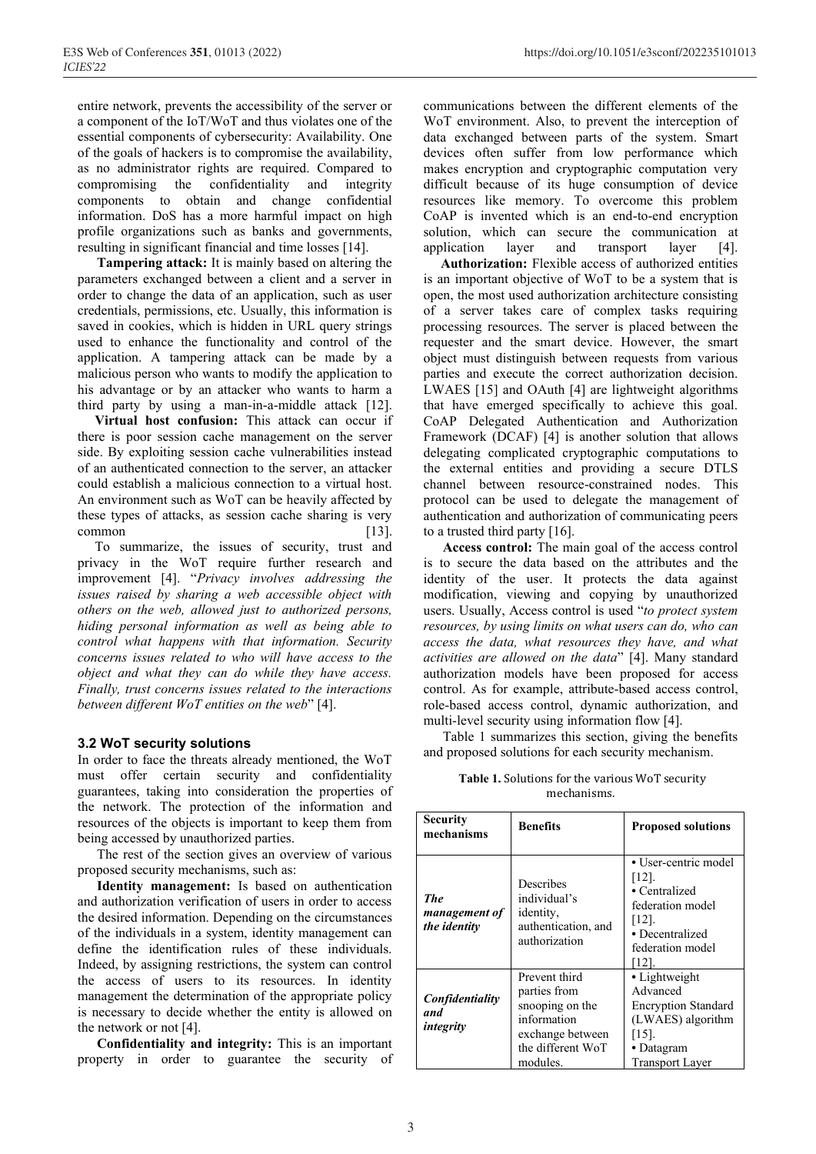entire network, prevents the accessibility of the server or a component of the IoT/WoT and thus violates one of the essential components of cybersecurity: Availability. One of the goals of hackers is to compromise the availability, as no administrator rights are required. Compared to compromising the confidentiality and integrity components to obtain and change confidential information. DoS has a more harmful impact on high profile organizations such as banks and governments, resulting in significant financial and time losses [14].

**Tampering attack:** It is mainly based on altering the parameters exchanged between a client and a server in order to change the data of an application, such as user credentials, permissions, etc. Usually, this information is saved in cookies, which is hidden in URL query strings used to enhance the functionality and control of the application. A tampering attack can be made by a malicious person who wants to modify the application to his advantage or by an attacker who wants to harm a third party by using a man-in-a-middle attack [12].

 **Virtual host confusion:** This attack can occur if there is poor session cache management on the server side. By exploiting session cache vulnerabilities instead of an authenticated connection to the server, an attacker could establish a malicious connection to a virtual host. An environment such as WoT can be heavily affected by these types of attacks, as session cache sharing is very common [13].

 To summarize, the issues of security, trust and privacy in the WoT require further research and improvement [4]. "*Privacy involves addressing the issues raised by sharing a web accessible object with others on the web, allowed just to authorized persons, hiding personal information as well as being able to control what happens with that information. Security concerns issues related to who will have access to the object and what they can do while they have access. Finally, trust concerns issues related to the interactions between different WoT entities on the web*" [4].

#### **3.2 WoT security solutions**

In order to face the threats already mentioned, the WoT must offer certain security and confidentiality guarantees, taking into consideration the properties of the network. The protection of the information and resources of the objects is important to keep them from being accessed by unauthorized parties.

The rest of the section gives an overview of various proposed security mechanisms, such as:

**Identity management:** Is based on authentication and authorization verification of users in order to access the desired information. Depending on the circumstances of the individuals in a system, identity management can define the identification rules of these individuals. Indeed, by assigning restrictions, the system can control the access of users to its resources. In identity management the determination of the appropriate policy is necessary to decide whether the entity is allowed on the network or not [4].

**Confidentiality and integrity:** This is an important property in order to guarantee the security of

communications between the different elements of the WoT environment. Also, to prevent the interception of data exchanged between parts of the system. Smart devices often suffer from low performance which makes encryption and cryptographic computation very difficult because of its huge consumption of device resources like memory. To overcome this problem CoAP is invented which is an end-to-end encryption solution, which can secure the communication at application layer and transport layer [4].

 **Authorization:** Flexible access of authorized entities is an important objective of WoT to be a system that is open, the most used authorization architecture consisting of a server takes care of complex tasks requiring processing resources. The server is placed between the requester and the smart device. However, the smart object must distinguish between requests from various parties and execute the correct authorization decision. LWAES [15] and OAuth [4] are lightweight algorithms that have emerged specifically to achieve this goal. CoAP Delegated Authentication and Authorization Framework (DCAF) [4] is another solution that allows delegating complicated cryptographic computations to the external entities and providing a secure DTLS channel between resource-constrained nodes. This protocol can be used to delegate the management of authentication and authorization of communicating peers to a trusted third party [16].

**Access control:** The main goal of the access control is to secure the data based on the attributes and the identity of the user. It protects the data against modification, viewing and copying by unauthorized users. Usually, Access control is used "*to protect system resources, by using limits on what users can do, who can access the data, what resources they have, and what activities are allowed on the data*" [4]. Many standard authorization models have been proposed for access control. As for example, attribute-based access control, role-based access control, dynamic authorization, and multi-level security using information flow [4].

Table 1 summarizes this section, giving the benefits and proposed solutions for each security mechanism.

**Table 1.** Solutions for the various WoT security mechanisms.

| <b>Security</b><br>mechanisms                      | <b>Benefits</b>                                                                                                      | <b>Proposed solutions</b>                                                                                                        |
|----------------------------------------------------|----------------------------------------------------------------------------------------------------------------------|----------------------------------------------------------------------------------------------------------------------------------|
| <b>The</b><br><i>management of</i><br>the identity | Describes<br>individual's<br>identity,<br>authentication, and<br>authorization                                       | • User-centric model<br>[12]<br>• Centralized<br>federation model<br>[12]<br>• Decentralized<br>federation model<br>[12].        |
| Confidentiality<br>and<br>integrity                | Prevent third<br>parties from<br>snooping on the<br>information<br>exchange between<br>the different WoT<br>modules. | • Lightweight<br>Advanced<br><b>Encryption Standard</b><br>(LWAES) algorithm<br>$[15]$ .<br>• Datagram<br><b>Transport Layer</b> |